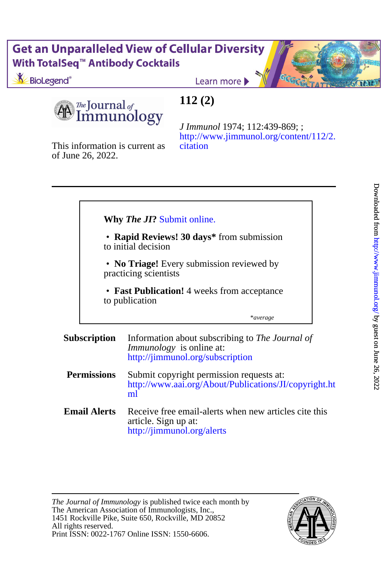### **Get an Unparalleled View of Cellular Diversity** With TotalSeq<sup>™</sup> Antibody Cocktails

BioLegend<sup>®</sup>

Learn more

The Journal of nmunology

This information is current as

of June 26, 2022.

## **112 (2)**

[citation](http://www.jimmunol.org/content/112/2.citation) [http://www.jimmunol.org/content/112/2.](http://www.jimmunol.org/content/112/2.citation) *J Immunol* 1974; 112:439-869; ;

\**average* to publication • **Fast Publication!** 4 weeks from acceptance Ī practicing scientists • **No Triage!** Every submission reviewed by to initial decision • **Rapid Reviews! 30 days\*** from submission **Why** *The JI***?** [Submit online.](https://ji.msubmit.net) **Subscription** <http://jimmunol.org/subscription> *Immunology* is online at: Information about subscribing to *The Journal of* **Permissions** [ml](http://www.aai.org/About/Publications/JI/copyright.html) [http://www.aai.org/About/Publications/JI/copyright.ht](http://www.aai.org/About/Publications/JI/copyright.html) Submit copyright permission requests at: **Email Alerts** article. Sign up at: Receive free email-alerts when new articles cite this

<http://jimmunol.org/alerts>

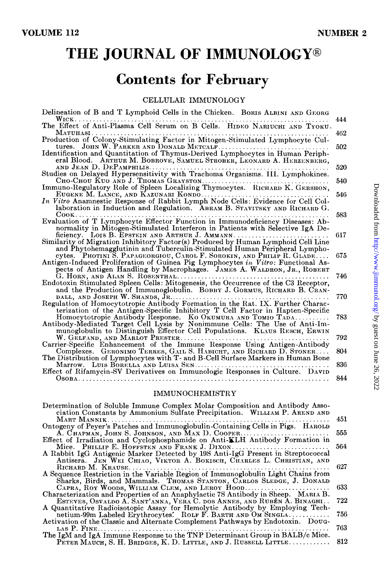# THE JOURNAL OF IMMUNOLOGY®

# **Contents for February**

CELLULAR IMMUNOLOGY

| 444        |
|------------|
| 462        |
| 502        |
|            |
| 520<br>540 |
|            |
| 546        |
| 583        |
| 617        |
| 675        |
| 746        |
| 770.       |
|            |
| 783        |
| 792        |
| 804        |
| 836        |
| 844        |
|            |

#### IMMUNOCHEMISTRY

| Determination of Soluble Immune Complex Molar Composition and Antibody Asso-<br>ciation Constants by Ammonium Sulfate Precipitation. WILLIAM P. AREND AND |      |
|-----------------------------------------------------------------------------------------------------------------------------------------------------------|------|
|                                                                                                                                                           | 451  |
| Ontogeny of Peyer's Patches and Immunoglobulin-Containing Cells in Pigs. HAROLD                                                                           |      |
| A. Chapman, John S. Johnson, and Max D. Cooper                                                                                                            | 555  |
| Effect of Irradiation and Cyclophosphamide on Anti-KLH Antibody Formation in                                                                              |      |
| Mice. PHILLIP E. HOFFSTEN AND FRANK J. DIXON                                                                                                              | 564  |
| A Rabbit IgG Antigenic Marker Detected by 19S Anti-IgG Present in Streptococcal                                                                           |      |
| Antisera. JEN WEI CHIAO, VIKTOR A. BOKISCH, CHARLES L. CHRISTIAN, AND                                                                                     |      |
| RICHARD M. KRAUSE                                                                                                                                         | 627  |
| A Sequence Restriction in the Variable Region of Immunoglobulin Light Chains from                                                                         |      |
| Sharks, Birds, and Mammals. Thomas Stanton, CARLOS SLEDGE, J. DONALD                                                                                      |      |
| CAPRA, ROY WOODS, WILLIAM CLEM, AND LEROY HOOD                                                                                                            | 633  |
| Characterization and Properties of an Anaphylactic 7S Antibody in Sheep. MARIA B.                                                                         |      |
| ESTEVES, OSVALDO A. SANT'ANNA, VERA C. DOS ANNES, AND RUBÉN A. BINAGHI                                                                                    | 722  |
| A Quantitative Radioisotopic Assay for Hemolytic Antibody by Employing Tech-                                                                              |      |
| netium-99m Labeled Erythrocytes: ROLF F. BARTH AND OM SINGLA.                                                                                             | 756. |
| Activation of the Classic and Alternate Complement Pathways by Endotoxin. Doug-                                                                           |      |
| LAS P. FINE<br>.                                                                                                                                          | 763. |
| The IgM and IgA Immune Response to the TNP Determinant Group in BALB/c Mice.                                                                              |      |
| PETER MAUCH, S. H. BRIDGES, K. D. LITTLE, AND J. RUSSELL LITTLE                                                                                           | 812  |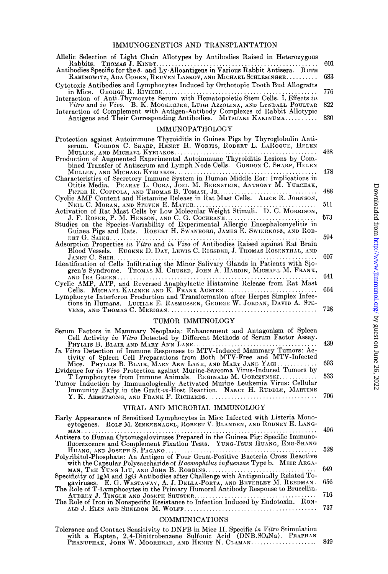| Allelic Selection of Light Chain Allotypes by Antibodies Raised in Heterozygous                                                                              | 601           |
|--------------------------------------------------------------------------------------------------------------------------------------------------------------|---------------|
| Rabbits. THOMAS J. KINDT<br>Antibodies Specific for the $\theta$ - and Ly-Alloantigens in Various Rabbit Antisera. RUTH                                      |               |
| RABINOWITZ, ADA COHEN, REUVEN LASKOV, AND MICHAEL SCHLESINGER<br>Cytotoxic Antibodies and Lymphocytes Induced by Orthotopic Tooth Bud Allografts             | 683           |
|                                                                                                                                                              | 776           |
| Vitro and in Vivo. B. K. MOOKERJEE, LUIGI AZZOLINA, AND LYNDALL POULTAR                                                                                      | 822           |
| Interaction of Complement with Antigen-Antibody Complexes of Rabbit Allotypic<br>Antigens and Their Corresponding Antibodies. MITSUAKI KAKINUMA              | 830           |
| <b>IMMUNOPATHOLOGY</b>                                                                                                                                       |               |
| Protection against Autoimmune Thyroiditis in Guinea Pigs by Thyroglobulin Anti-<br>serum. GORDON C. SHARP, HENRY H. WORTIS, ROBERT L. LAROQUE, HELEN         |               |
| bined Transfer of Antiserum and Lymph Node Cells. GORDON C. SHARP, HELEN                                                                                     | 468           |
|                                                                                                                                                              | 478           |
| Otitis Media. PEARAY L. OGRA, JOEL M. BERNSTEIN, ANTHONY M. YURCHAK,                                                                                         | 488           |
| PETER R. COPPOLA, AND THOMAS B. TOMASI, JR.<br>Cyclic AMP Content and Histamine Release in Rat Mast Cells. ALICE R. JOHNSON,                                 |               |
| NEIL C. MORAN, AND STEVEN E. MAYER<br>.<br>Activation of Rat Mast Cells by Low Molecular Weight Stimuli. D. C. MORRISON,                                     | 511           |
| J. F. ROSER, P. M. HENSON, AND C. G. COCHRANE<br>Studies on the Species-Variability of Experimental Allergic Encephalomyelitis in                            | 573           |
| Guinea Pigs and Rats. ROBERT H. SWANBORG, JAMES E. SWIERKOSZ, AND ROB-                                                                                       | 594           |
| Blood Vessels. EUGENE D. DAY, LEWIS C. RIGSBEE, J. THOMAS ROSENTHAL, AND                                                                                     |               |
| JANET C. SHIH                                                                                                                                                | 607           |
| Identification of Cells Infiltrating the Minor Salivary Glands in Patients with Sjo-<br>gren's Syndrome. Thomas M. Chused, John A. HARDIN, MICHAEL M. FRANK, |               |
|                                                                                                                                                              | 641           |
| Cells. MICHAEL KALINER AND K. FRANK AUSTEN.<br>Lymphocyte Interferon Production and Transformation after Herpes Simplex Infec-                               | 664           |
| tions in Humans. LUCILLE E. RASMUSSEN, GEORGE W. JORDAN, DAVID A. STE-                                                                                       | 728           |
| TUMOR IMMUNOLOGY                                                                                                                                             |               |
| Serum Factors in Mammary Neoplasia: Enhancement and Antagonism of Spleen<br>Cell Activity in Vitro Detected by Different Methods of Serum Factor Assay.      | $\lambda$ 90. |

| Cell Activity in Vitro Detected by Different Methods of Serum Factor Assay.    |  |
|--------------------------------------------------------------------------------|--|
|                                                                                |  |
| In Vitro Detection of Immune Responses to MTV-Induced Mammary Tumors: Ac-      |  |
| tivity of Spleen Cell Preparations from Both MTV-Free and MTV-Infected         |  |
| Mice. PHYLLIS B. BLAIR, MARY ANN LANE, AND MARY JANE YAGI  693                 |  |
| Evidence for in Vivo Protection against Murine-Sarcoma Virus-Induced Tumors by |  |
| T Lymphocytes from Immune Animals. REGINALD M. GORCZYNSKI 533                  |  |
| Tumor Induction by Immunologically Activated Murine Leukemia Virus: Cellular   |  |
| Immunity Early in the Graft-vs-Host Reaction. NANCY H. RUDDLE, MARTINE         |  |
|                                                                                |  |
|                                                                                |  |

### VIRAL AND MICROBIAL IMMUNOLOGY

| Early Appearance of Sensitized Lymphocytes in Mice Infected with Listeria Mono-<br>cytogenes. ROLF M. ZINKERNAGEL, ROBERT V. BLANDEN, AND RODNEY E. LANG- |     |
|-----------------------------------------------------------------------------------------------------------------------------------------------------------|-----|
|                                                                                                                                                           | 496 |
| Antisera to Human Cytomegaloviruses Prepared in the Guinea Pig: Specific Immuno-                                                                          |     |
| fluorexcence and Complement Fixation Tests. YUNG-TSUN HUANG, ENG-SHANG                                                                                    | 528 |
| Polyribitol-Phosphate: An Antigen of Four Gram-Positive Bacteria Cross Reactive                                                                           |     |
| with the Capsular Polysaccharide of Haemophilus influenzae Type b. MEIR ARGA-                                                                             |     |
|                                                                                                                                                           | 649 |
| Specificity of IgM and IgG Antibodies after Challenge with Antigenically Related To-                                                                      |     |
| gaviruses. E. G. WESTAWAY, A. J. DELLA-PORTA, AND BEVERLEY M. REEDMAN.                                                                                    | 656 |
| The Role of T-Lymphocytes in the Primary Humoral Antibody Response to Brucellin.                                                                          |     |
|                                                                                                                                                           | 716 |
| The Role of Iron in Nonspecific Resistance to Infection Induced by Endotoxin. Ron-                                                                        |     |
|                                                                                                                                                           | 737 |
|                                                                                                                                                           |     |

#### ${\bf COMMUNICATIONS}$

| Tolerance and Contact Sensitivity to DNFB in Mice II. Specific in Vitro Stimulation |  |
|-------------------------------------------------------------------------------------|--|
| with a Hapten, 2,4-Dinitrobenzene Sulfonic Acid (DNB.SO3Na). PRAPHAN                |  |
|                                                                                     |  |